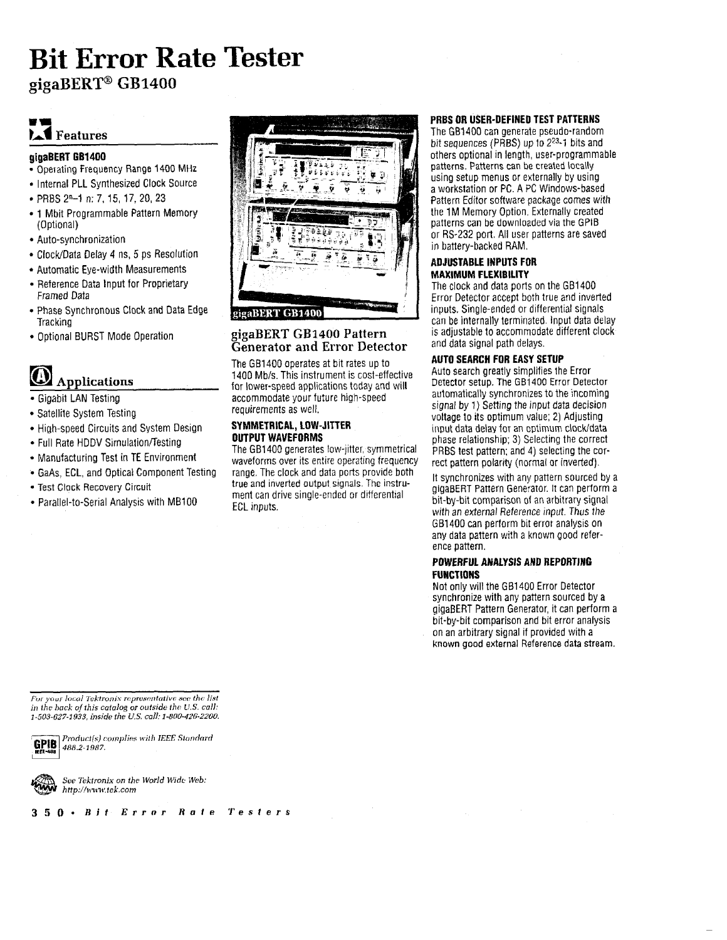## **Bit Error Rate Tester**  gigaBERT<sup>®</sup> GB1400

## **IA~ Features**

#### **glgaBERT CB1400**

- Operating frequency Range 1400 MHz
- Internal PLL Synthesized Clock Source
- PRBS 2"-I n: 7, 15, 17, 20, 23
- 1 Mbit Programmable Pattern Memory (Optional)
- Auto-synchronization
- ClockiData Delay 4 ns, 5 ps Resolution
- Automatic Eye-width Measurements
- Reference Data Input for Proprietary Framed Data
- Phase Synchronous Clock and Data Edge **Tracking**
- Optional BURST Mode Operation

## EI **Applicatiuns**

- Gigabit LAN Testing
- Satellite System Testing
- High-speed Circuits and System Design
- Full Rate HDDV Simulation/Testing
- Manufacturing Test in TE Environment
- GaAs. ECL, and Optical Component Testing
- Test Clock Recovery Circuit
- Parallel-to-Serial Analysts with **MB100**



#### **gigaBERT GI31400 Pattern Generator and Error Detector**

The GB1400 operates at bit rates up to 1400 Mbls. This instrument is cost-effective for lower-speed applications today and will accommodate your future high-speed requirements as well.

#### **SYMMETRICAL, LOW-JITTER OUTPUT WAVEFORMS**

The GB1400 generates low-jitter, symmetrical waveforms over its entire operating frequency range. The clock and data ports provide both true and inverted output signals The instrument can drive single-ended or ditferential ECL *inputs.* 

#### **PRBS OR USER-DEFINED TEST PATTERNS**

The GB1400 can generate pseudc-random bit sequences (PRBS) up to 223-f bits and others optional in length, user-programmable patterns. Patterns can be created locally using setup menus or externally by using a workstation or PC. A PC Windows-based Pattern Editor software package comes with the 1M Memory Option. Externally created patterns can be downloaded via the GPIB or RS-232 port. All user patterns are saved in battery-backed RAM.

#### **ADJUSTABLE INPUTS FOR MAXIMUM FLEXIBILITY**

The clock and data ports on the GB1400 Error Detector accept both true and inverted inputs. Single-ended or differential signals can be internally terminated. Input data delay is adjustable to accommodate different clock and data signal path delays.

#### **AUTO SEARCH FOR EASY SETUP**

Auto search greatly simplifies the Error Detector setup. The **GB1400** Error Detector automatically synchronizes to the incoming signal by 1) Setting the input data decision voltage to its optimum value; 2) Adjusting input data delay for **an** op\imum clockidata phase relationship; 3) Selecting the correct PRBS test pattern; and 4) selecting the correct pattern polarity (normal or inverted).

It synchronizes with any pattern sourced by a gigaBERT Pattern Generator. It can perform a bit-by-bit comparison of an arbitrary signal with an external Reference input. Thus the GB1400 can perform bit error analysis on any data pzttern with a known good reference pattern.

#### **POWERFUL ANALYSIS AND REPORTING FUNCTlONS**

Not only will the GB1400 Error Detector synchronize with any pattern sourced by a gigaBERT Pattern Generator, it can perform a bit-by-bit comparison and bit error analysis on an arbitrary signal if provided with a known good external Reference data stream.

For your local Tektronix representative see the list *in the hack of this catalog or outside the U.S. call:* 



*1-503-627-1933, inside the U.S. call:*  $1-503-627-1933$ , inside the U.S. call:  $1-800-426-2200$ .<br> **GPIB** *Product(s) complies with IEEE Standard*<br> **EEF-933** *PROduct(s) complies with IEEE Standard* Product(s) complies with **IEEE** Standard<br>488.2-1987.



*See Tektronix* **on the** *World* **M'idc** *Cl'eb:*  http://www.tek.com